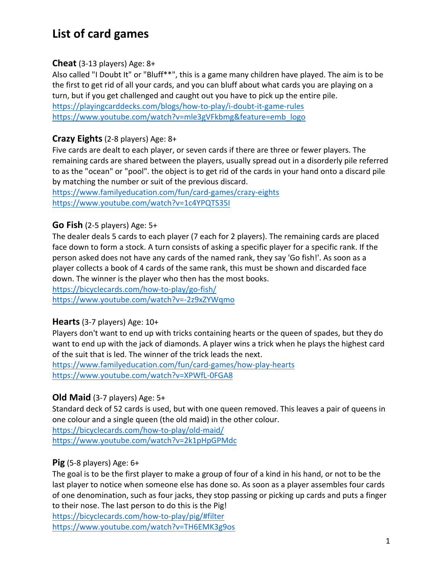# List of card games

### **Cheat** (3-13 players)  $Age: 8+$

Also called "I Doubt It" or "Bluff\*\*", this is a game many children have played. The aim is to be the first to get rid of all your cards, and you can bluff about what cards you are playing on a turn, but if you get challenged and caught out you have to pick up the entire pile. https://playingcarddecks.com/blogs/how-to-play/i-doubt-it-game-rules

https://www.youtube.com/watch?v=mle3gVFkbmg&feature=emb\_logo

## **Crazy Eights**(2-8 players) Age: 8+

Five cards are dealt to each player, or seven cards if there are three or fewer players. The remaining cards are shared between the players, usually spread out in a disorderly pile referred to as the "ocean" or "pool". the object is to get rid of the cards in your hand onto a discard pile by matching the number or suit of the previous discard.

https://www.familyeducation.com/fun/card-games/crazy-eights https://www.youtube.com/watch?v=1c4YPQTS35I

## **Go Fish** (2-5 players) Age: 5+

The dealer deals 5 cards to each player (7 each for 2 players). The remaining cards are placed face down to form a stock. A turn consists of asking a specific player for a specific rank. If the person asked does not have any cards of the named rank, they say 'Go fish!'. As soon as a player collects a book of 4 cards of the same rank, this must be shown and discarded face down. The winner is the player who then has the most books.

https://bicyclecards.com/how-to-play/go-fish/ https://www.youtube.com/watch?v=-2z9xZYWqmo

## Hearts (3-7 players) Age: 10+

Players don't want to end up with tricks containing hearts or the queen of spades, but they do want to end up with the jack of diamonds. A player wins a trick when he plays the highest card of the suit that is led. The winner of the trick leads the next.

https://www.familyeducation.com/fun/card-games/how-play-hearts https://www.youtube.com/watch?v=XPWfL-0FGA8

## **Old Maid** (3-7 players) Age: 5+

Standard deck of 52 cards is used, but with one queen removed. This leaves a pair of queens in one colour and a single queen (the old maid) in the other colour.

https://bicyclecards.com/how-to-play/old-maid/ https://www.youtube.com/watch?v=2k1pHpGPMdc

## **Pig** (5-8 players) Age:  $6+$

The goal is to be the first player to make a group of four of a kind in his hand, or not to be the last player to notice when someone else has done so. As soon as a player assembles four cards of one denomination, such as four jacks, they stop passing or picking up cards and puts a finger to their nose. The last person to do this is the Pig!

https://bicyclecards.com/how-to-play/pig/#filter https://www.youtube.com/watch?v=TH6EMK3g9os